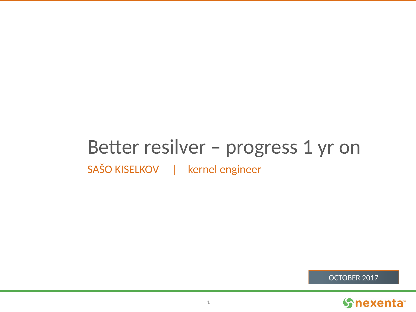# Better resilver - progress 1 yr on

SAŠO KISELKOV | kernel engineer

OCTOBER 2017

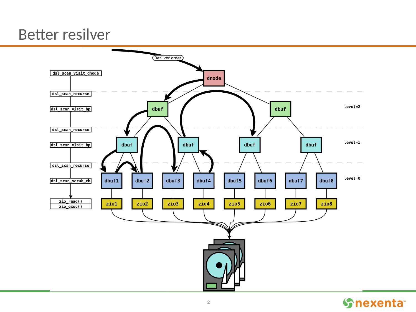# **Better resilver**



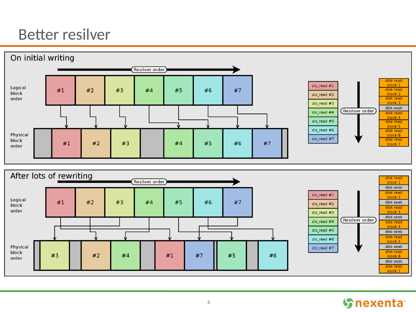# **Better resilver**





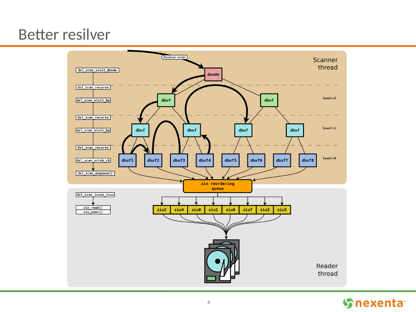# **Better resilver**



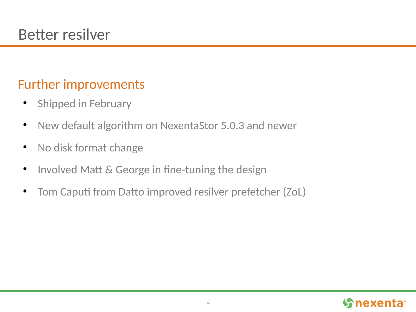### Further improvements

- Shipped in February
- New default algorithm on NexentaStor 5.0.3 and newer
- No disk format change
- Involved Matt & George in fine-tuning the design
- Tom Caputi from Datto improved resilver prefetcher (ZoL)

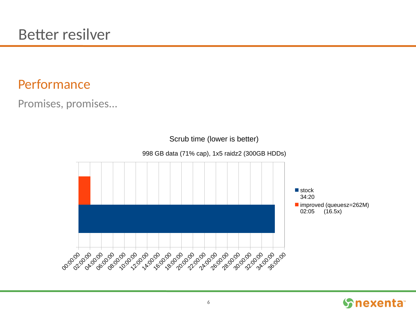Promises, promises...



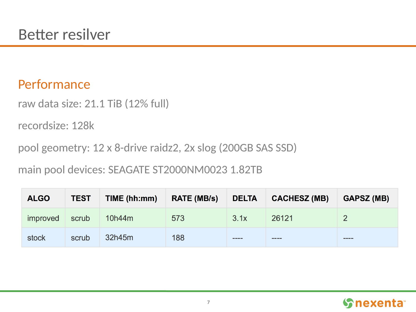raw data size: 21.1 TiB (12% full)

recordsize: 128k

pool geometry: 12 x 8-drive raidz2, 2x slog (200GB SAS SSD)

main pool devices: SEAGATE ST2000NM0023 1.82TB

| <b>ALGO</b>     | <b>TEST</b> | TIME (hh:mm) | <b>RATE (MB/s)</b> | <b>DELTA</b> | <b>CACHESZ (MB)</b> | <b>GAPSZ (MB)</b> |
|-----------------|-------------|--------------|--------------------|--------------|---------------------|-------------------|
| <i>improved</i> | scrub       | 10h44m       | 573                | 3.1x         | 26121               |                   |
| stock           | scrub       | 32h45m       | 188                | ----         | ----                | ----              |

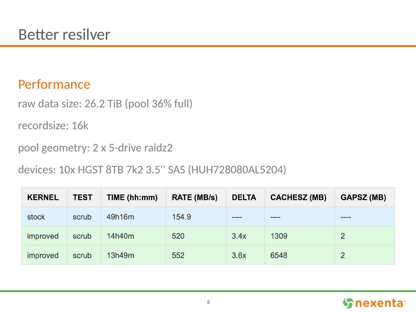raw data size: 26.2 TiB (pool 36% full)

recordsize: 16k

pool geometry: 2 x 5-drive raidz2

devices: 10x HGST 8TB 7k2 3.5'' SAS (HUH728080AL5204)

| <b>KERNEL</b>   | <b>TEST</b> | TIME (hh:mm) | <b>RATE (MB/s)</b> | <b>DELTA</b> | <b>CACHESZ (MB)</b> | <b>GAPSZ (MB)</b> |
|-----------------|-------------|--------------|--------------------|--------------|---------------------|-------------------|
| stock           | scrub       | 49h16m       | 154.9              | ----         | ----                | ----              |
| <i>improved</i> | scrub       | 14h40m       | 520                | 3.4x         | 1309                | $\overline{2}$    |
| <i>improved</i> | scrub       | 13h49m       | 552                | 3.6x         | 6548                |                   |

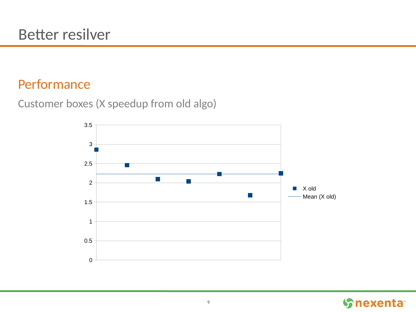Customer boxes (X speedup from old algo)



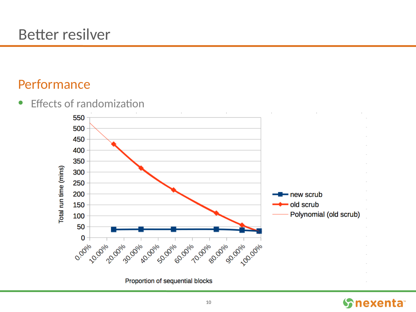• Effects of randomization



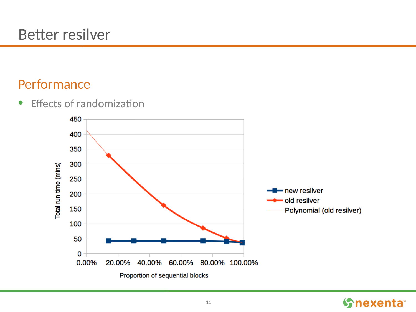• Effects of randomization